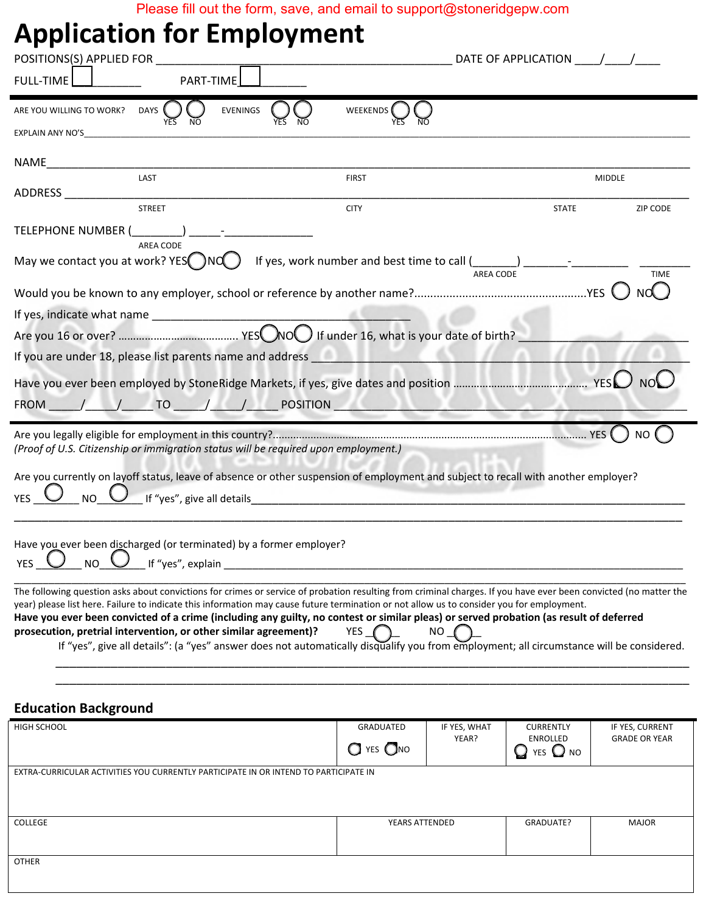Please fill out the form, save, and email to support@stoneridgepw.com

## **Application for Employment**

| <b>Application for Employment</b><br>POSITIONS(S) APPLIED FOR ____________                                                                                                                                                                                                                                                                                                                                                                                                                                                                                                                                                                                              |                                                  | DATE OF APPLICATION $\sqrt{2}$                                           |                                         |
|-------------------------------------------------------------------------------------------------------------------------------------------------------------------------------------------------------------------------------------------------------------------------------------------------------------------------------------------------------------------------------------------------------------------------------------------------------------------------------------------------------------------------------------------------------------------------------------------------------------------------------------------------------------------------|--------------------------------------------------|--------------------------------------------------------------------------|-----------------------------------------|
| FULL-TIME    <br>PART-TIME                                                                                                                                                                                                                                                                                                                                                                                                                                                                                                                                                                                                                                              |                                                  |                                                                          |                                         |
| EVENINGS<br>DAYS <sup>(</sup><br>ARE YOU WILLING TO WORK?<br>EXPLAIN ANY NO'S________________                                                                                                                                                                                                                                                                                                                                                                                                                                                                                                                                                                           | WEEKENDS                                         |                                                                          |                                         |
|                                                                                                                                                                                                                                                                                                                                                                                                                                                                                                                                                                                                                                                                         |                                                  |                                                                          |                                         |
| LAST                                                                                                                                                                                                                                                                                                                                                                                                                                                                                                                                                                                                                                                                    | <b>FIRST</b>                                     |                                                                          | <b>MIDDLE</b>                           |
| ADDRESS<br><b>STREET</b>                                                                                                                                                                                                                                                                                                                                                                                                                                                                                                                                                                                                                                                | <b>CITY</b>                                      | <b>STATE</b>                                                             | ZIP CODE                                |
| TELEPHONE NUMBER ( )<br>$\begin{tabular}{ll} \multicolumn{2}{c} {\textbf{1}} & \multicolumn{2}{c} {\textbf{2}} & \multicolumn{2}{c} {\textbf{3}} & \multicolumn{2}{c} {\textbf{4}} \\ \multicolumn{2}{c} {\textbf{5}} & \multicolumn{2}{c} {\textbf{6}} & \multicolumn{2}{c} {\textbf{7}} & \multicolumn{2}{c} {\textbf{8}} & \multicolumn{2}{c} {\textbf{9}} \\ \multicolumn{2}{c} {\textbf{1}} & \multicolumn{2}{c} {\textbf{1}} & \multicolumn{2}{c} {\textbf{1}} & \multicolumn{2}{c} {\textbf{1}} & \multicolumn$                                                                                                                                                  |                                                  |                                                                          |                                         |
| AREA CODE<br>May we contact you at work? $YES($ $)NG$ )                                                                                                                                                                                                                                                                                                                                                                                                                                                                                                                                                                                                                 |                                                  | AREA CODE                                                                | <b>TIME</b>                             |
|                                                                                                                                                                                                                                                                                                                                                                                                                                                                                                                                                                                                                                                                         |                                                  |                                                                          |                                         |
|                                                                                                                                                                                                                                                                                                                                                                                                                                                                                                                                                                                                                                                                         |                                                  |                                                                          |                                         |
|                                                                                                                                                                                                                                                                                                                                                                                                                                                                                                                                                                                                                                                                         |                                                  |                                                                          |                                         |
|                                                                                                                                                                                                                                                                                                                                                                                                                                                                                                                                                                                                                                                                         |                                                  |                                                                          |                                         |
|                                                                                                                                                                                                                                                                                                                                                                                                                                                                                                                                                                                                                                                                         |                                                  |                                                                          |                                         |
| FROM / / TO / / / POSITION                                                                                                                                                                                                                                                                                                                                                                                                                                                                                                                                                                                                                                              |                                                  |                                                                          |                                         |
| (Proof of U.S. Citizenship or immigration status will be required upon employment.)<br>Are you currently on layoff status, leave of absence or other suspension of employment and subject to recall with another employer?<br><b>YES</b><br><b>NO</b>                                                                                                                                                                                                                                                                                                                                                                                                                   |                                                  |                                                                          | <b>NO</b>                               |
| Have you ever been discharged (or terminated) by a former employer?<br><b>NO</b><br>If "yes", explain<br>YES                                                                                                                                                                                                                                                                                                                                                                                                                                                                                                                                                            |                                                  |                                                                          |                                         |
| The following question asks about convictions for crimes or service of probation resulting from criminal charges. If you have ever been convicted (no matter the<br>year) please list here. Failure to indicate this information may cause future termination or not allow us to consider you for employment.<br>Have you ever been convicted of a crime (including any guilty, no contest or similar pleas) or served probation (as result of deferred<br>prosecution, pretrial intervention, or other similar agreement)?<br>If "yes", give all details": (a "yes" answer does not automatically disqualify you from employment; all circumstance will be considered. | <b>YES</b><br>NO                                 |                                                                          |                                         |
| <b>Education Background</b>                                                                                                                                                                                                                                                                                                                                                                                                                                                                                                                                                                                                                                             |                                                  |                                                                          |                                         |
| <b>HIGH SCHOOL</b>                                                                                                                                                                                                                                                                                                                                                                                                                                                                                                                                                                                                                                                      | <b>GRADUATED</b><br>$\bigcirc$ yes $\bigcirc$ no | IF YES, WHAT<br><b>CURRENTLY</b><br>YEAR?<br><b>ENROLLED</b><br>YES O NO | IF YES, CURRENT<br><b>GRADE OR YEAR</b> |
| EXTRA-CURRICULAR ACTIVITIES YOU CURRENTLY PARTICIPATE IN OR INTEND TO PARTICIPATE IN                                                                                                                                                                                                                                                                                                                                                                                                                                                                                                                                                                                    |                                                  |                                                                          |                                         |

| COLLEGE | YEARS ATTENDED | GRADUATE? | MAJOR |
|---------|----------------|-----------|-------|
|         |                |           |       |
|         |                |           |       |
|         |                |           |       |
|         |                |           |       |
| OTHER   |                |           |       |
|         |                |           |       |
|         |                |           |       |